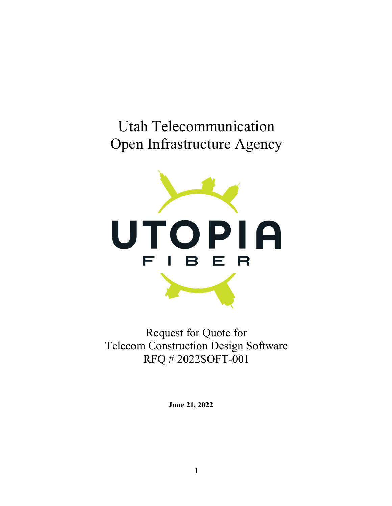## Utah Telecommunication Open Infrastructure Agency



Request for Quote for Telecom Construction Design Software RFQ # 2022SOFT-001

**June 21, 2022**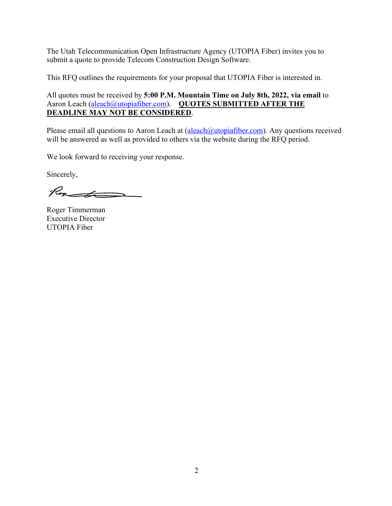The Utah Telecommunication Open Infrastructure Agency (UTOPIA Fiber) invites you to submit a quote to provide Telecom Construction Design Software.

This RFQ outlines the requirements for your proposal that UTOPIA Fiber is interested in.

#### All quotes must be received by **5:00 P.M. Mountain Time on July 8th, 2022, via email** to Aaron Leach (aleach@utopiafiber.com). QUOTES SUBMITTED AFTER THE **DEADLINE MAY NOT BE CONSIDERED**.

Please email all questions to Aaron Leach at (aleach@utopiafiber.com). Any questions received will be answered as well as provided to others via the website during the RFQ period.

We look forward to receiving your response.

Sincerely,

Rounder

Roger Timmerman Executive Director UTOPIA Fiber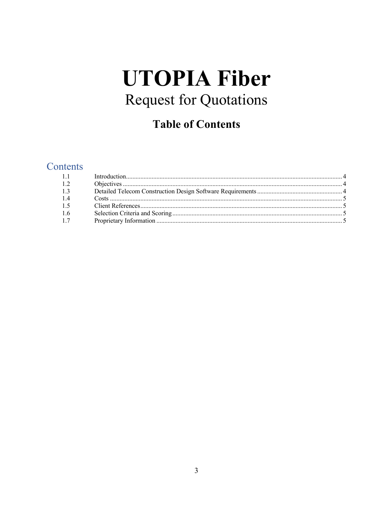# **UTOPIA Fiber Request for Quotations**

### **Table of Contents**

#### Contents

| 1.2 |  |
|-----|--|
| 1.3 |  |
| 1.4 |  |
| 1.5 |  |
| 1.6 |  |
| 1.7 |  |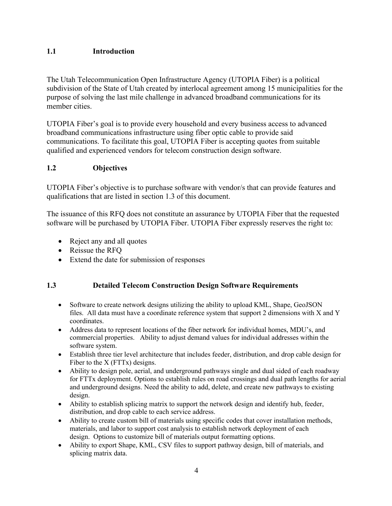#### **1.1 Introduction**

The Utah Telecommunication Open Infrastructure Agency (UTOPIA Fiber) is a political subdivision of the State of Utah created by interlocal agreement among 15 municipalities for the purpose of solving the last mile challenge in advanced broadband communications for its member cities.

UTOPIA Fiber's goal is to provide every household and every business access to advanced broadband communications infrastructure using fiber optic cable to provide said communications. To facilitate this goal, UTOPIA Fiber is accepting quotes from suitable qualified and experienced vendors for telecom construction design software.

#### **1.2 Objectives**

UTOPIA Fiber's objective is to purchase software with vendor/s that can provide features and qualifications that are listed in section 1.3 of this document.

The issuance of this RFQ does not constitute an assurance by UTOPIA Fiber that the requested software will be purchased by UTOPIA Fiber. UTOPIA Fiber expressly reserves the right to:

- Reject any and all quotes
- Reissue the RFQ
- Extend the date for submission of responses

#### **1.3 Detailed Telecom Construction Design Software Requirements**

- Software to create network designs utilizing the ability to upload KML, Shape, GeoJSON files. All data must have a coordinate reference system that support 2 dimensions with X and Y coordinates.
- Address data to represent locations of the fiber network for individual homes, MDU's, and commercial properties. Ability to adjust demand values for individual addresses within the software system.
- Establish three tier level architecture that includes feeder, distribution, and drop cable design for Fiber to the  $X$  (FTTx) designs.
- Ability to design pole, aerial, and underground pathways single and dual sided of each roadway for FTTx deployment. Options to establish rules on road crossings and dual path lengths for aerial and underground designs. Need the ability to add, delete, and create new pathways to existing design.
- Ability to establish splicing matrix to support the network design and identify hub, feeder, distribution, and drop cable to each service address.
- Ability to create custom bill of materials using specific codes that cover installation methods, materials, and labor to support cost analysis to establish network deployment of each design. Options to customize bill of materials output formatting options.
- Ability to export Shape, KML, CSV files to support pathway design, bill of materials, and splicing matrix data.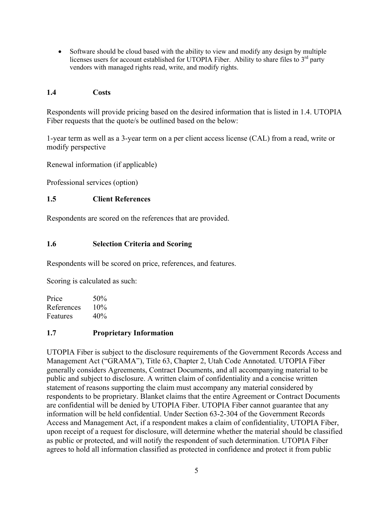• Software should be cloud based with the ability to view and modify any design by multiple licenses users for account established for UTOPIA Fiber. Ability to share files to  $3<sup>rd</sup>$  party vendors with managed rights read, write, and modify rights.

#### **1.4 Costs**

Respondents will provide pricing based on the desired information that is listed in 1.4. UTOPIA Fiber requests that the quote/s be outlined based on the below:

1-year term as well as a 3-year term on a per client access license (CAL) from a read, write or modify perspective

Renewal information (if applicable)

Professional services (option)

#### **1.5 Client References**

Respondents are scored on the references that are provided.

#### **1.6 Selection Criteria and Scoring**

Respondents will be scored on price, references, and features.

Scoring is calculated as such:

Price  $50\%$ References 10% Features 40%

#### **1.7 Proprietary Information**

UTOPIA Fiber is subject to the disclosure requirements of the Government Records Access and Management Act ("GRAMA"), Title 63, Chapter 2, Utah Code Annotated. UTOPIA Fiber generally considers Agreements, Contract Documents, and all accompanying material to be public and subject to disclosure. A written claim of confidentiality and a concise written statement of reasons supporting the claim must accompany any material considered by respondents to be proprietary. Blanket claims that the entire Agreement or Contract Documents are confidential will be denied by UTOPIA Fiber. UTOPIA Fiber cannot guarantee that any information will be held confidential. Under Section 63-2-304 of the Government Records Access and Management Act, if a respondent makes a claim of confidentiality, UTOPIA Fiber, upon receipt of a request for disclosure, will determine whether the material should be classified as public or protected, and will notify the respondent of such determination. UTOPIA Fiber agrees to hold all information classified as protected in confidence and protect it from public